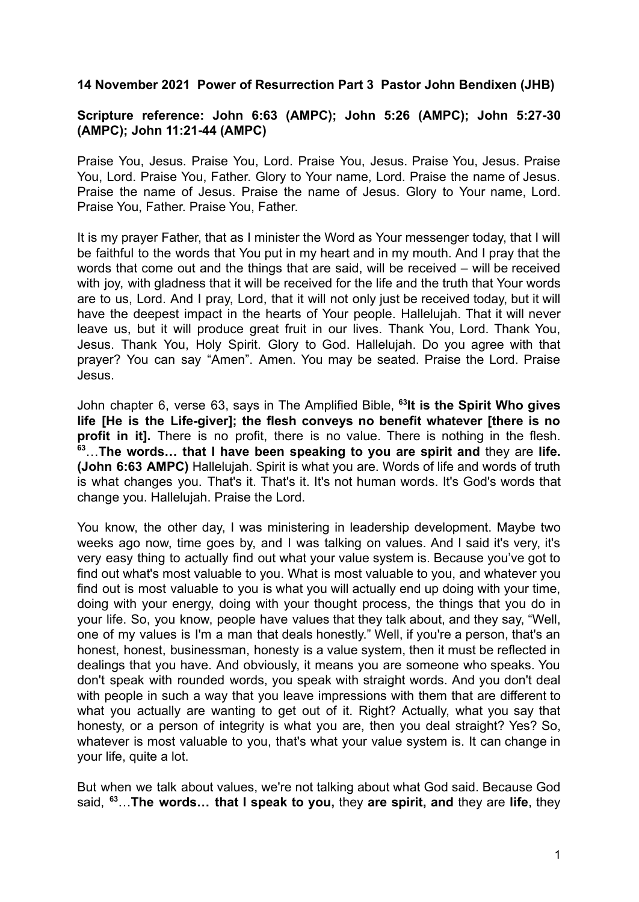**14 November 2021 Power of Resurrection Part 3 Pastor John Bendixen (JHB)**

## **Scripture reference: John 6:63 (AMPC); John 5:26 (AMPC); John 5:27-30 (AMPC); John 11:21-44 (AMPC)**

Praise You, Jesus. Praise You, Lord. Praise You, Jesus. Praise You, Jesus. Praise You, Lord. Praise You, Father. Glory to Your name, Lord. Praise the name of Jesus. Praise the name of Jesus. Praise the name of Jesus. Glory to Your name, Lord. Praise You, Father. Praise You, Father.

It is my prayer Father, that as I minister the Word as Your messenger today, that I will be faithful to the words that You put in my heart and in my mouth. And I pray that the words that come out and the things that are said, will be received – will be received with joy, with gladness that it will be received for the life and the truth that Your words are to us, Lord. And I pray, Lord, that it will not only just be received today, but it will have the deepest impact in the hearts of Your people. Hallelujah. That it will never leave us, but it will produce great fruit in our lives. Thank You, Lord. Thank You, Jesus. Thank You, Holy Spirit. Glory to God. Hallelujah. Do you agree with that prayer? You can say "Amen". Amen. You may be seated. Praise the Lord. Praise Jesus.

John chapter 6, verse 63, says in The Amplified Bible, **<sup>63</sup> It is the Spirit Who gives life [He is the Life-giver]; the flesh conveys no benefit whatever [there is no profit in it].** There is no profit, there is no value. There is nothing in the flesh. **<sup>63</sup>**…**The words… that I have been speaking to you are spirit and** they are **life. (John 6:63 AMPC)** Hallelujah. Spirit is what you are. Words of life and words of truth is what changes you. That's it. That's it. It's not human words. It's God's words that change you. Hallelujah. Praise the Lord.

You know, the other day, I was ministering in leadership development. Maybe two weeks ago now, time goes by, and I was talking on values. And I said it's very, it's very easy thing to actually find out what your value system is. Because you've got to find out what's most valuable to you. What is most valuable to you, and whatever you find out is most valuable to you is what you will actually end up doing with your time, doing with your energy, doing with your thought process, the things that you do in your life. So, you know, people have values that they talk about, and they say, "Well, one of my values is I'm a man that deals honestly." Well, if you're a person, that's an honest, honest, businessman, honesty is a value system, then it must be reflected in dealings that you have. And obviously, it means you are someone who speaks. You don't speak with rounded words, you speak with straight words. And you don't deal with people in such a way that you leave impressions with them that are different to what you actually are wanting to get out of it. Right? Actually, what you say that honesty, or a person of integrity is what you are, then you deal straight? Yes? So, whatever is most valuable to you, that's what your value system is. It can change in your life, quite a lot.

But when we talk about values, we're not talking about what God said. Because God said, **<sup>63</sup>**…**The words… that I speak to you,** they **are spirit, and** they are **life**, they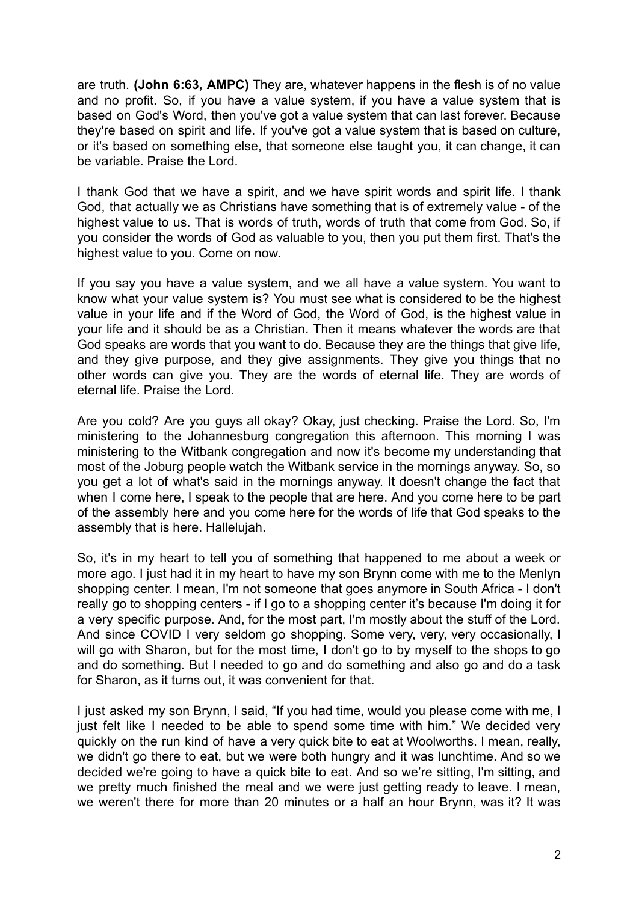are truth. **(John 6:63, AMPC)** They are, whatever happens in the flesh is of no value and no profit. So, if you have a value system, if you have a value system that is based on God's Word, then you've got a value system that can last forever. Because they're based on spirit and life. If you've got a value system that is based on culture, or it's based on something else, that someone else taught you, it can change, it can be variable. Praise the Lord.

I thank God that we have a spirit, and we have spirit words and spirit life. I thank God, that actually we as Christians have something that is of extremely value - of the highest value to us. That is words of truth, words of truth that come from God. So, if you consider the words of God as valuable to you, then you put them first. That's the highest value to you. Come on now.

If you say you have a value system, and we all have a value system. You want to know what your value system is? You must see what is considered to be the highest value in your life and if the Word of God, the Word of God, is the highest value in your life and it should be as a Christian. Then it means whatever the words are that God speaks are words that you want to do. Because they are the things that give life, and they give purpose, and they give assignments. They give you things that no other words can give you. They are the words of eternal life. They are words of eternal life. Praise the Lord.

Are you cold? Are you guys all okay? Okay, just checking. Praise the Lord. So, I'm ministering to the Johannesburg congregation this afternoon. This morning I was ministering to the Witbank congregation and now it's become my understanding that most of the Joburg people watch the Witbank service in the mornings anyway. So, so you get a lot of what's said in the mornings anyway. It doesn't change the fact that when I come here, I speak to the people that are here. And you come here to be part of the assembly here and you come here for the words of life that God speaks to the assembly that is here. Hallelujah.

So, it's in my heart to tell you of something that happened to me about a week or more ago. I just had it in my heart to have my son Brynn come with me to the Menlyn shopping center. I mean, I'm not someone that goes anymore in South Africa - I don't really go to shopping centers - if I go to a shopping center it's because I'm doing it for a very specific purpose. And, for the most part, I'm mostly about the stuff of the Lord. And since COVID I very seldom go shopping. Some very, very, very occasionally, I will go with Sharon, but for the most time, I don't go to by myself to the shops to go and do something. But I needed to go and do something and also go and do a task for Sharon, as it turns out, it was convenient for that.

I just asked my son Brynn, I said, "If you had time, would you please come with me, I just felt like I needed to be able to spend some time with him." We decided very quickly on the run kind of have a very quick bite to eat at Woolworths. I mean, really, we didn't go there to eat, but we were both hungry and it was lunchtime. And so we decided we're going to have a quick bite to eat. And so we're sitting, I'm sitting, and we pretty much finished the meal and we were just getting ready to leave. I mean, we weren't there for more than 20 minutes or a half an hour Brynn, was it? It was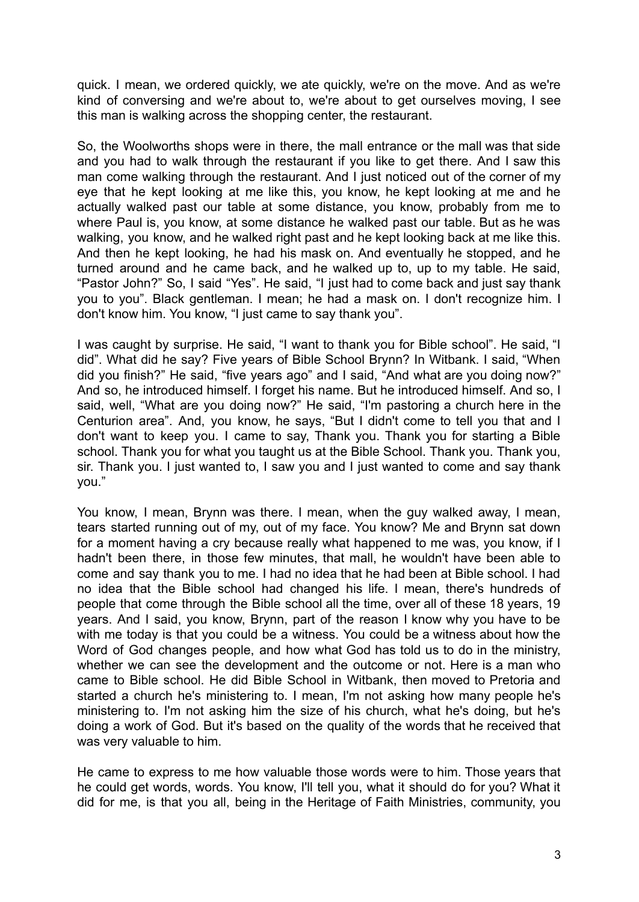quick. I mean, we ordered quickly, we ate quickly, we're on the move. And as we're kind of conversing and we're about to, we're about to get ourselves moving, I see this man is walking across the shopping center, the restaurant.

So, the Woolworths shops were in there, the mall entrance or the mall was that side and you had to walk through the restaurant if you like to get there. And I saw this man come walking through the restaurant. And I just noticed out of the corner of my eye that he kept looking at me like this, you know, he kept looking at me and he actually walked past our table at some distance, you know, probably from me to where Paul is, you know, at some distance he walked past our table. But as he was walking, you know, and he walked right past and he kept looking back at me like this. And then he kept looking, he had his mask on. And eventually he stopped, and he turned around and he came back, and he walked up to, up to my table. He said, "Pastor John?" So, I said "Yes". He said, "I just had to come back and just say thank you to you". Black gentleman. I mean; he had a mask on. I don't recognize him. I don't know him. You know, "I just came to say thank you".

I was caught by surprise. He said, "I want to thank you for Bible school". He said, "I did". What did he say? Five years of Bible School Brynn? In Witbank. I said, "When did you finish?" He said, "five years ago" and I said, "And what are you doing now?" And so, he introduced himself. I forget his name. But he introduced himself. And so, I said, well, "What are you doing now?" He said, "I'm pastoring a church here in the Centurion area". And, you know, he says, "But I didn't come to tell you that and I don't want to keep you. I came to say, Thank you. Thank you for starting a Bible school. Thank you for what you taught us at the Bible School. Thank you. Thank you, sir. Thank you. I just wanted to, I saw you and I just wanted to come and say thank you."

You know, I mean, Brynn was there. I mean, when the guy walked away, I mean, tears started running out of my, out of my face. You know? Me and Brynn sat down for a moment having a cry because really what happened to me was, you know, if I hadn't been there, in those few minutes, that mall, he wouldn't have been able to come and say thank you to me. I had no idea that he had been at Bible school. I had no idea that the Bible school had changed his life. I mean, there's hundreds of people that come through the Bible school all the time, over all of these 18 years, 19 years. And I said, you know, Brynn, part of the reason I know why you have to be with me today is that you could be a witness. You could be a witness about how the Word of God changes people, and how what God has told us to do in the ministry, whether we can see the development and the outcome or not. Here is a man who came to Bible school. He did Bible School in Witbank, then moved to Pretoria and started a church he's ministering to. I mean, I'm not asking how many people he's ministering to. I'm not asking him the size of his church, what he's doing, but he's doing a work of God. But it's based on the quality of the words that he received that was very valuable to him.

He came to express to me how valuable those words were to him. Those years that he could get words, words. You know, I'll tell you, what it should do for you? What it did for me, is that you all, being in the Heritage of Faith Ministries, community, you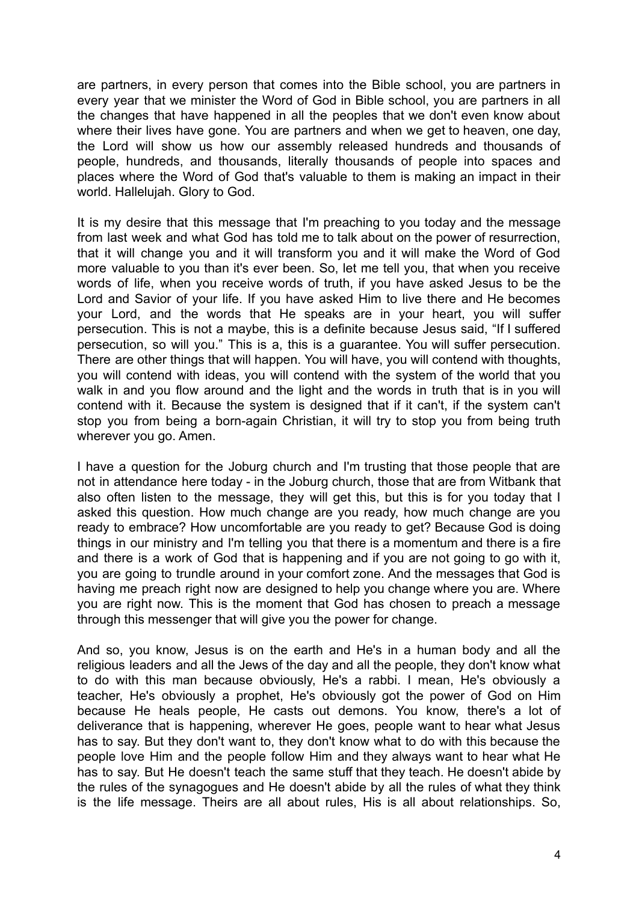are partners, in every person that comes into the Bible school, you are partners in every year that we minister the Word of God in Bible school, you are partners in all the changes that have happened in all the peoples that we don't even know about where their lives have gone. You are partners and when we get to heaven, one day, the Lord will show us how our assembly released hundreds and thousands of people, hundreds, and thousands, literally thousands of people into spaces and places where the Word of God that's valuable to them is making an impact in their world. Hallelujah. Glory to God.

It is my desire that this message that I'm preaching to you today and the message from last week and what God has told me to talk about on the power of resurrection, that it will change you and it will transform you and it will make the Word of God more valuable to you than it's ever been. So, let me tell you, that when you receive words of life, when you receive words of truth, if you have asked Jesus to be the Lord and Savior of your life. If you have asked Him to live there and He becomes your Lord, and the words that He speaks are in your heart, you will suffer persecution. This is not a maybe, this is a definite because Jesus said, "If I suffered persecution, so will you." This is a, this is a guarantee. You will suffer persecution. There are other things that will happen. You will have, you will contend with thoughts, you will contend with ideas, you will contend with the system of the world that you walk in and you flow around and the light and the words in truth that is in you will contend with it. Because the system is designed that if it can't, if the system can't stop you from being a born-again Christian, it will try to stop you from being truth wherever you go. Amen.

I have a question for the Joburg church and I'm trusting that those people that are not in attendance here today - in the Joburg church, those that are from Witbank that also often listen to the message, they will get this, but this is for you today that I asked this question. How much change are you ready, how much change are you ready to embrace? How uncomfortable are you ready to get? Because God is doing things in our ministry and I'm telling you that there is a momentum and there is a fire and there is a work of God that is happening and if you are not going to go with it, you are going to trundle around in your comfort zone. And the messages that God is having me preach right now are designed to help you change where you are. Where you are right now. This is the moment that God has chosen to preach a message through this messenger that will give you the power for change.

And so, you know, Jesus is on the earth and He's in a human body and all the religious leaders and all the Jews of the day and all the people, they don't know what to do with this man because obviously, He's a rabbi. I mean, He's obviously a teacher, He's obviously a prophet, He's obviously got the power of God on Him because He heals people, He casts out demons. You know, there's a lot of deliverance that is happening, wherever He goes, people want to hear what Jesus has to say. But they don't want to, they don't know what to do with this because the people love Him and the people follow Him and they always want to hear what He has to say. But He doesn't teach the same stuff that they teach. He doesn't abide by the rules of the synagogues and He doesn't abide by all the rules of what they think is the life message. Theirs are all about rules, His is all about relationships. So,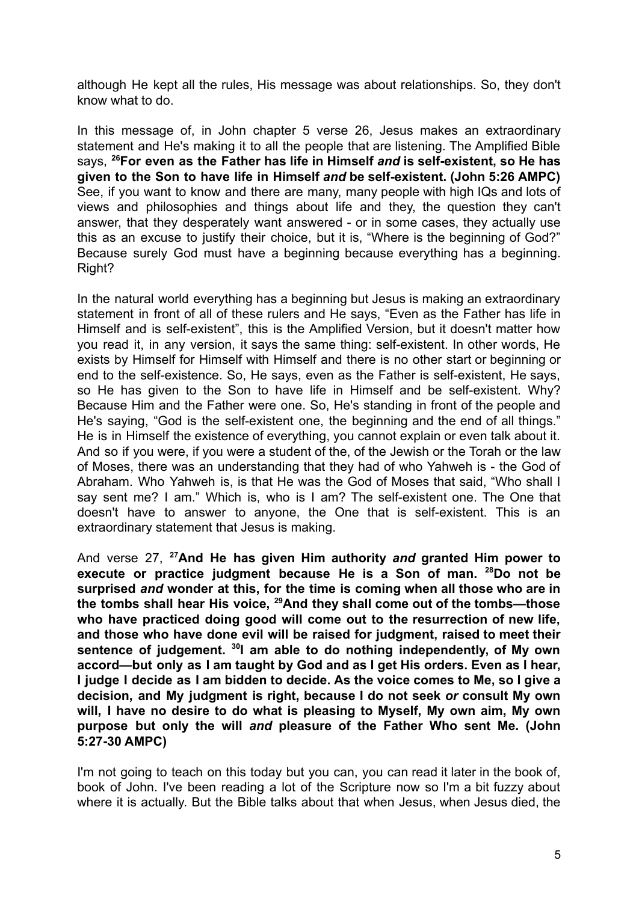although He kept all the rules, His message was about relationships. So, they don't know what to do.

In this message of, in John chapter 5 verse 26, Jesus makes an extraordinary statement and He's making it to all the people that are listening. The Amplified Bible says, **<sup>26</sup>For even as the Father has life in Himself** *and* **is self-existent, so He has given to the Son to have life in Himself** *and* **be self-existent. (John 5:26 AMPC)** See, if you want to know and there are many, many people with high IQs and lots of views and philosophies and things about life and they, the question they can't answer, that they desperately want answered - or in some cases, they actually use this as an excuse to justify their choice, but it is, "Where is the beginning of God?" Because surely God must have a beginning because everything has a beginning. Right?

In the natural world everything has a beginning but Jesus is making an extraordinary statement in front of all of these rulers and He says, "Even as the Father has life in Himself and is self-existent", this is the Amplified Version, but it doesn't matter how you read it, in any version, it says the same thing: self-existent. In other words, He exists by Himself for Himself with Himself and there is no other start or beginning or end to the self-existence. So, He says, even as the Father is self-existent, He says, so He has given to the Son to have life in Himself and be self-existent. Why? Because Him and the Father were one. So, He's standing in front of the people and He's saying, "God is the self-existent one, the beginning and the end of all things." He is in Himself the existence of everything, you cannot explain or even talk about it. And so if you were, if you were a student of the, of the Jewish or the Torah or the law of Moses, there was an understanding that they had of who Yahweh is - the God of Abraham. Who Yahweh is, is that He was the God of Moses that said, "Who shall I say sent me? I am." Which is, who is I am? The self-existent one. The One that doesn't have to answer to anyone, the One that is self-existent. This is an extraordinary statement that Jesus is making.

And verse 27, **<sup>27</sup>And He has given Him authority** *and* **granted Him power to execute or practice judgment because He is a Son of man. <sup>28</sup>Do not be surprised** *and* **wonder at this, for the time is coming when all those who are in the tombs shall hear His voice, <sup>29</sup>And they shall come out of the tombs—those who have practiced doing good will come out to the resurrection of new life, and those who have done evil will be raised for judgment, raised to meet their sentence of judgement. <sup>30</sup> I am able to do nothing independently, of My own accord—but only as I am taught by God and as I get His orders. Even as I hear, I judge I decide as I am bidden to decide. As the voice comes to Me, so I give a decision, and My judgment is right, because I do not seek** *or* **consult My own will, I have no desire to do what is pleasing to Myself, My own aim, My own purpose but only the will** *and* **pleasure of the Father Who sent Me. (John 5:27-30 AMPC)**

I'm not going to teach on this today but you can, you can read it later in the book of, book of John. I've been reading a lot of the Scripture now so I'm a bit fuzzy about where it is actually. But the Bible talks about that when Jesus, when Jesus died, the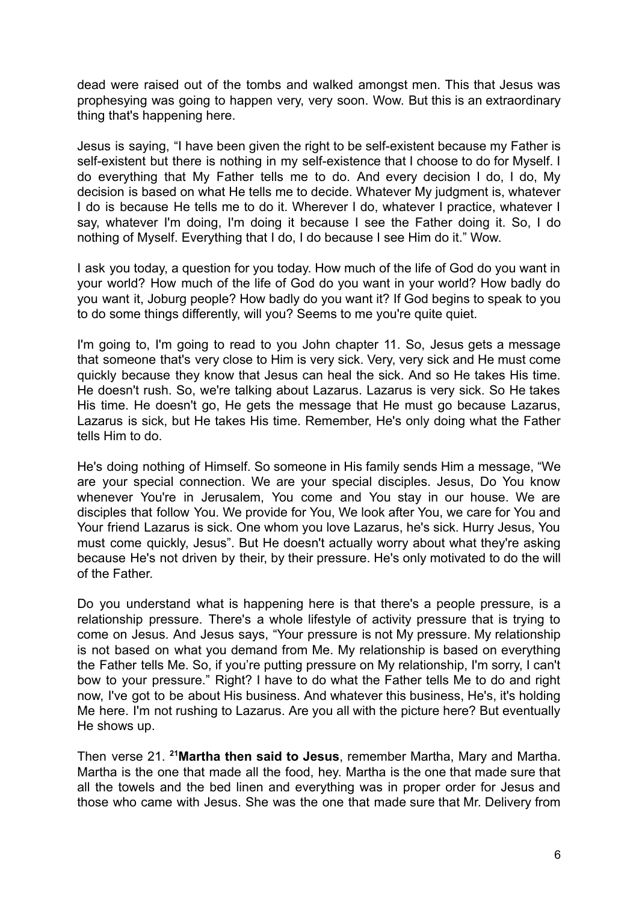dead were raised out of the tombs and walked amongst men. This that Jesus was prophesying was going to happen very, very soon. Wow. But this is an extraordinary thing that's happening here.

Jesus is saying, "I have been given the right to be self-existent because my Father is self-existent but there is nothing in my self-existence that I choose to do for Myself. I do everything that My Father tells me to do. And every decision I do, I do, My decision is based on what He tells me to decide. Whatever My judgment is, whatever I do is because He tells me to do it. Wherever I do, whatever I practice, whatever I say, whatever I'm doing, I'm doing it because I see the Father doing it. So, I do nothing of Myself. Everything that I do, I do because I see Him do it." Wow.

I ask you today, a question for you today. How much of the life of God do you want in your world? How much of the life of God do you want in your world? How badly do you want it, Joburg people? How badly do you want it? If God begins to speak to you to do some things differently, will you? Seems to me you're quite quiet.

I'm going to, I'm going to read to you John chapter 11. So, Jesus gets a message that someone that's very close to Him is very sick. Very, very sick and He must come quickly because they know that Jesus can heal the sick. And so He takes His time. He doesn't rush. So, we're talking about Lazarus. Lazarus is very sick. So He takes His time. He doesn't go, He gets the message that He must go because Lazarus, Lazarus is sick, but He takes His time. Remember, He's only doing what the Father tells Him to do.

He's doing nothing of Himself. So someone in His family sends Him a message, "We are your special connection. We are your special disciples. Jesus, Do You know whenever You're in Jerusalem, You come and You stay in our house. We are disciples that follow You. We provide for You, We look after You, we care for You and Your friend Lazarus is sick. One whom you love Lazarus, he's sick. Hurry Jesus, You must come quickly, Jesus". But He doesn't actually worry about what they're asking because He's not driven by their, by their pressure. He's only motivated to do the will of the Father.

Do you understand what is happening here is that there's a people pressure, is a relationship pressure. There's a whole lifestyle of activity pressure that is trying to come on Jesus. And Jesus says, "Your pressure is not My pressure. My relationship is not based on what you demand from Me. My relationship is based on everything the Father tells Me. So, if you're putting pressure on My relationship, I'm sorry, I can't bow to your pressure." Right? I have to do what the Father tells Me to do and right now, I've got to be about His business. And whatever this business, He's, it's holding Me here. I'm not rushing to Lazarus. Are you all with the picture here? But eventually He shows up.

Then verse 21. **<sup>21</sup>Martha then said to Jesus**, remember Martha, Mary and Martha. Martha is the one that made all the food, hey. Martha is the one that made sure that all the towels and the bed linen and everything was in proper order for Jesus and those who came with Jesus. She was the one that made sure that Mr. Delivery from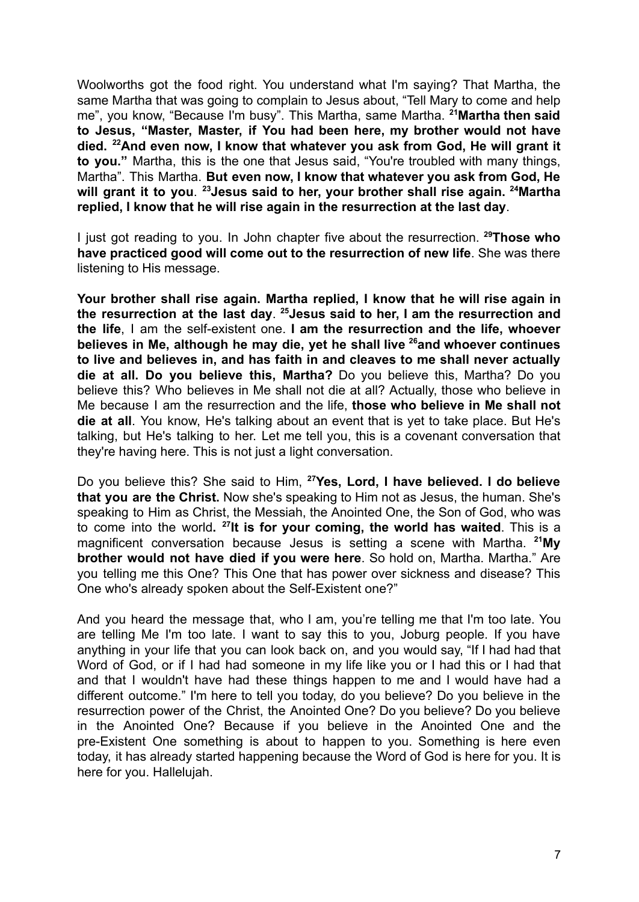Woolworths got the food right. You understand what I'm saying? That Martha, the same Martha that was going to complain to Jesus about, "Tell Mary to come and help me", you know, "Because I'm busy". This Martha, same Martha. **<sup>21</sup>Martha then said to Jesus, "Master, Master, if You had been here, my brother would not have died. <sup>22</sup>And even now, I know that whatever you ask from God, He will grant it to you."** Martha, this is the one that Jesus said, "You're troubled with many things, Martha". This Martha. **But even now, I know that whatever you ask from God, He will grant it to you**. **<sup>23</sup>Jesus said to her, your brother shall rise again. <sup>24</sup>Martha replied, I know that he will rise again in the resurrection at the last day**.

I just got reading to you. In John chapter five about the resurrection. **<sup>29</sup>Those who have practiced good will come out to the resurrection of new life**. She was there listening to His message.

**Your brother shall rise again. Martha replied, I know that he will rise again in the resurrection at the last day**. **<sup>25</sup>Jesus said to her, I am the resurrection and the life**, I am the self-existent one. **I am the resurrection and the life, whoever believes in Me, although he may die, yet he shall live <sup>26</sup>and whoever continues to live and believes in, and has faith in and cleaves to me shall never actually die at all. Do you believe this, Martha?** Do you believe this, Martha? Do you believe this? Who believes in Me shall not die at all? Actually, those who believe in Me because I am the resurrection and the life, **those who believe in Me shall not die at all**. You know, He's talking about an event that is yet to take place. But He's talking, but He's talking to her. Let me tell you, this is a covenant conversation that they're having here. This is not just a light conversation.

Do you believe this? She said to Him, **<sup>27</sup>Yes, Lord, I have believed. I do believe that you are the Christ.** Now she's speaking to Him not as Jesus, the human. She's speaking to Him as Christ, the Messiah, the Anointed One, the Son of God, who was to come into the world**. 27 It is for your coming, the world has waited**. This is a magnificent conversation because Jesus is setting a scene with Martha. **<sup>21</sup>My brother would not have died if you were here**. So hold on, Martha. Martha." Are you telling me this One? This One that has power over sickness and disease? This One who's already spoken about the Self-Existent one?"

And you heard the message that, who I am, you're telling me that I'm too late. You are telling Me I'm too late. I want to say this to you, Joburg people. If you have anything in your life that you can look back on, and you would say, "If I had had that Word of God, or if I had had someone in my life like you or I had this or I had that and that I wouldn't have had these things happen to me and I would have had a different outcome." I'm here to tell you today, do you believe? Do you believe in the resurrection power of the Christ, the Anointed One? Do you believe? Do you believe in the Anointed One? Because if you believe in the Anointed One and the pre-Existent One something is about to happen to you. Something is here even today, it has already started happening because the Word of God is here for you. It is here for you. Hallelujah.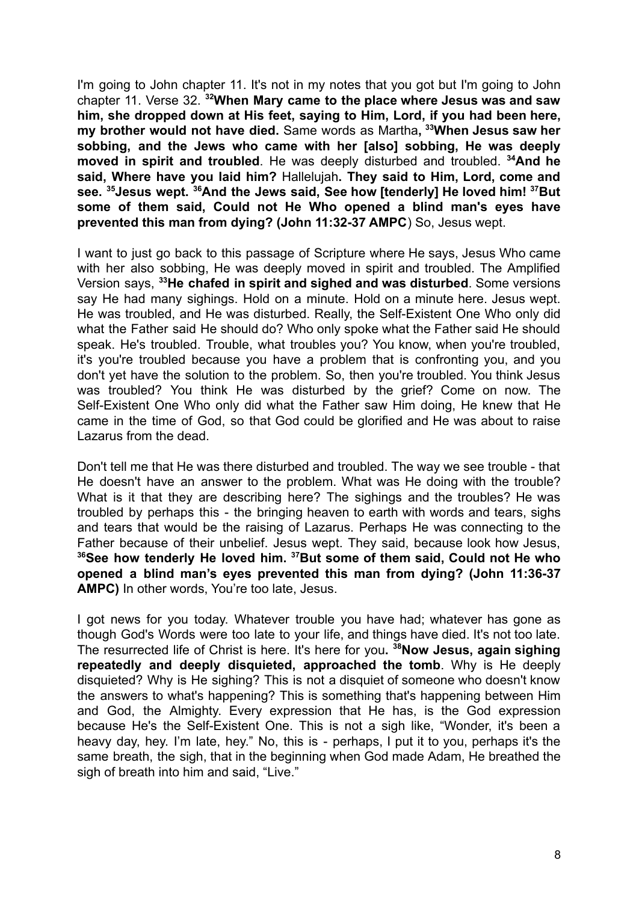I'm going to John chapter 11. It's not in my notes that you got but I'm going to John chapter 11. Verse 32. **<sup>32</sup>When Mary came to the place where Jesus was and saw him, she dropped down at His feet, saying to Him, Lord, if you had been here, my brother would not have died.** Same words as Martha**, <sup>33</sup>When Jesus saw her sobbing, and the Jews who came with her [also] sobbing, He was deeply moved in spirit and troubled**. He was deeply disturbed and troubled. **<sup>34</sup>And he said, Where have you laid him?** Hallelujah**. They said to Him, Lord, come and see. <sup>35</sup>Jesus wept. <sup>36</sup>And the Jews said, See how [tenderly] He loved him! <sup>37</sup>But some of them said, Could not He Who opened a blind man's eyes have prevented this man from dying? (John 11:32-37 AMPC**) So, Jesus wept.

I want to just go back to this passage of Scripture where He says, Jesus Who came with her also sobbing. He was deeply moved in spirit and troubled. The Amplified Version says, **<sup>33</sup>He chafed in spirit and sighed and was disturbed**. Some versions say He had many sighings. Hold on a minute. Hold on a minute here. Jesus wept. He was troubled, and He was disturbed. Really, the Self-Existent One Who only did what the Father said He should do? Who only spoke what the Father said He should speak. He's troubled. Trouble, what troubles you? You know, when you're troubled, it's you're troubled because you have a problem that is confronting you, and you don't yet have the solution to the problem. So, then you're troubled. You think Jesus was troubled? You think He was disturbed by the grief? Come on now. The Self-Existent One Who only did what the Father saw Him doing, He knew that He came in the time of God, so that God could be glorified and He was about to raise Lazarus from the dead.

Don't tell me that He was there disturbed and troubled. The way we see trouble - that He doesn't have an answer to the problem. What was He doing with the trouble? What is it that they are describing here? The sighings and the troubles? He was troubled by perhaps this - the bringing heaven to earth with words and tears, sighs and tears that would be the raising of Lazarus. Perhaps He was connecting to the Father because of their unbelief. Jesus wept. They said, because look how Jesus, **<sup>36</sup>See how tenderly He loved him. <sup>37</sup>But some of them said, Could not He who opened a blind man's eyes prevented this man from dying? (John 11:36-37 AMPC)** In other words, You're too late, Jesus.

I got news for you today. Whatever trouble you have had; whatever has gone as though God's Words were too late to your life, and things have died. It's not too late. The resurrected life of Christ is here. It's here for you**. <sup>38</sup>Now Jesus, again sighing repeatedly and deeply disquieted, approached the tomb**. Why is He deeply disquieted? Why is He sighing? This is not a disquiet of someone who doesn't know the answers to what's happening? This is something that's happening between Him and God, the Almighty. Every expression that He has, is the God expression because He's the Self-Existent One. This is not a sigh like, "Wonder, it's been a heavy day, hey. I'm late, hey." No, this is - perhaps, I put it to you, perhaps it's the same breath, the sigh, that in the beginning when God made Adam, He breathed the sigh of breath into him and said, "Live."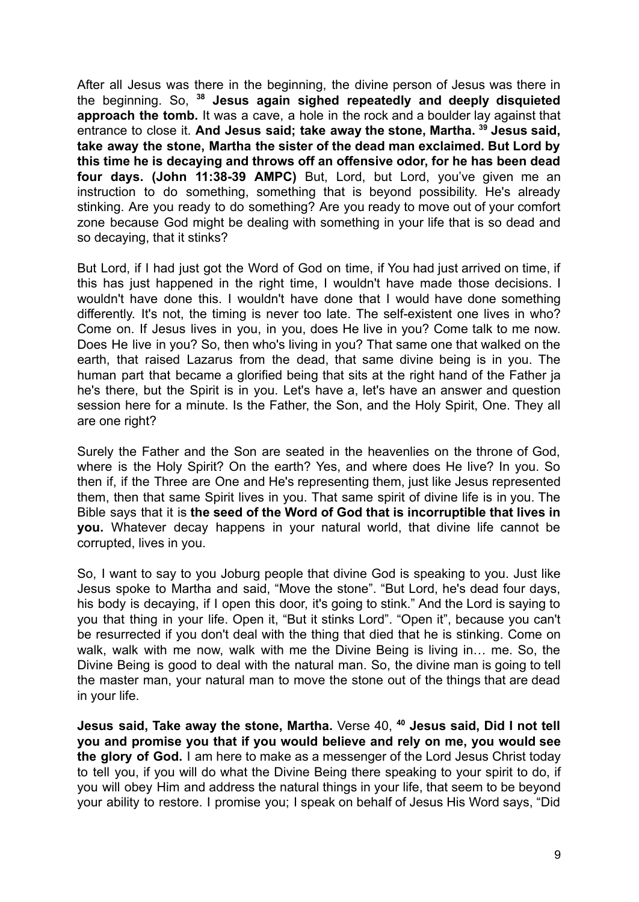After all Jesus was there in the beginning, the divine person of Jesus was there in the beginning. So, **<sup>38</sup> Jesus again sighed repeatedly and deeply disquieted approach the tomb.** It was a cave, a hole in the rock and a boulder lay against that entrance to close it. **And Jesus said; take away the stone, Martha. <sup>39</sup> Jesus said, take away the stone, Martha the sister of the dead man exclaimed. But Lord by this time he is decaying and throws off an offensive odor, for he has been dead four days. (John 11:38-39 AMPC)** But, Lord, but Lord, you've given me an instruction to do something, something that is beyond possibility. He's already stinking. Are you ready to do something? Are you ready to move out of your comfort zone because God might be dealing with something in your life that is so dead and so decaying, that it stinks?

But Lord, if I had just got the Word of God on time, if You had just arrived on time, if this has just happened in the right time, I wouldn't have made those decisions. I wouldn't have done this. I wouldn't have done that I would have done something differently. It's not, the timing is never too late. The self-existent one lives in who? Come on. If Jesus lives in you, in you, does He live in you? Come talk to me now. Does He live in you? So, then who's living in you? That same one that walked on the earth, that raised Lazarus from the dead, that same divine being is in you. The human part that became a glorified being that sits at the right hand of the Father ja he's there, but the Spirit is in you. Let's have a, let's have an answer and question session here for a minute. Is the Father, the Son, and the Holy Spirit, One. They all are one right?

Surely the Father and the Son are seated in the heavenlies on the throne of God, where is the Holy Spirit? On the earth? Yes, and where does He live? In you. So then if, if the Three are One and He's representing them, just like Jesus represented them, then that same Spirit lives in you. That same spirit of divine life is in you. The Bible says that it is **the seed of the Word of God that is incorruptible that lives in you.** Whatever decay happens in your natural world, that divine life cannot be corrupted, lives in you.

So, I want to say to you Joburg people that divine God is speaking to you. Just like Jesus spoke to Martha and said, "Move the stone". "But Lord, he's dead four days, his body is decaying, if I open this door, it's going to stink." And the Lord is saying to you that thing in your life. Open it, "But it stinks Lord". "Open it", because you can't be resurrected if you don't deal with the thing that died that he is stinking. Come on walk, walk with me now, walk with me the Divine Being is living in… me. So, the Divine Being is good to deal with the natural man. So, the divine man is going to tell the master man, your natural man to move the stone out of the things that are dead in your life.

**Jesus said, Take away the stone, Martha.** Verse 40, **<sup>40</sup> Jesus said, Did I not tell you and promise you that if you would believe and rely on me, you would see the glory of God.** I am here to make as a messenger of the Lord Jesus Christ today to tell you, if you will do what the Divine Being there speaking to your spirit to do, if you will obey Him and address the natural things in your life, that seem to be beyond your ability to restore. I promise you; I speak on behalf of Jesus His Word says, "Did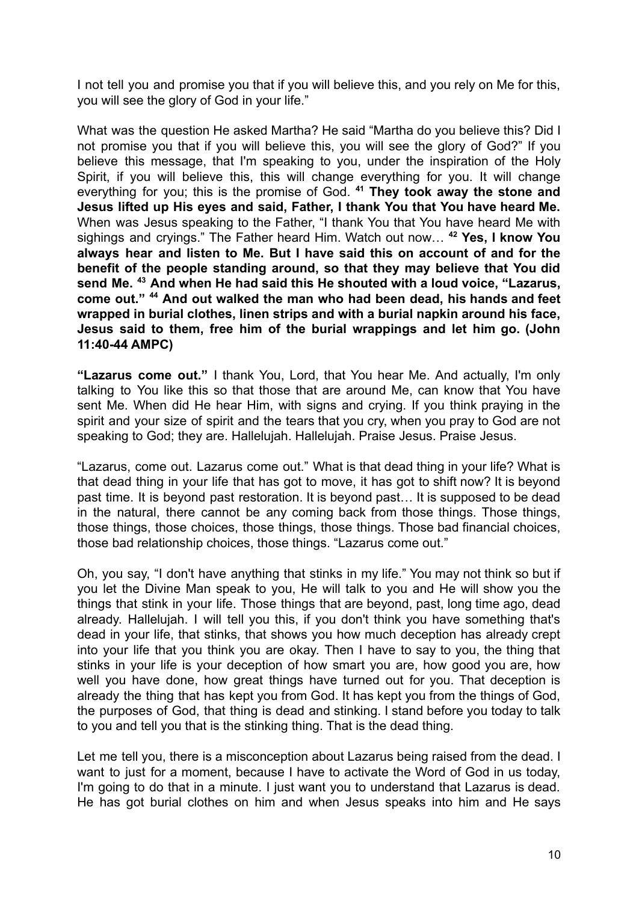I not tell you and promise you that if you will believe this, and you rely on Me for this, you will see the glory of God in your life."

What was the question He asked Martha? He said "Martha do you believe this? Did I not promise you that if you will believe this, you will see the glory of God?" If you believe this message, that I'm speaking to you, under the inspiration of the Holy Spirit, if you will believe this, this will change everything for you. It will change everything for you; this is the promise of God. **<sup>41</sup> They took away the stone and Jesus lifted up His eyes and said, Father, I thank You that You have heard Me.** When was Jesus speaking to the Father, "I thank You that You have heard Me with sighings and cryings." The Father heard Him. Watch out now… **<sup>42</sup> Yes, I know You always hear and listen to Me. But I have said this on account of and for the benefit of the people standing around, so that they may believe that You did send Me. <sup>43</sup> And when He had said this He shouted with a loud voice, "Lazarus, come out." <sup>44</sup> And out walked the man who had been dead, his hands and feet wrapped in burial clothes, linen strips and with a burial napkin around his face, Jesus said to them, free him of the burial wrappings and let him go. (John 11:40-44 AMPC)**

**"Lazarus come out."** I thank You, Lord, that You hear Me. And actually, I'm only talking to You like this so that those that are around Me, can know that You have sent Me. When did He hear Him, with signs and crying. If you think praying in the spirit and your size of spirit and the tears that you cry, when you pray to God are not speaking to God; they are. Hallelujah. Hallelujah. Praise Jesus. Praise Jesus.

"Lazarus, come out. Lazarus come out." What is that dead thing in your life? What is that dead thing in your life that has got to move, it has got to shift now? It is beyond past time. It is beyond past restoration. It is beyond past… It is supposed to be dead in the natural, there cannot be any coming back from those things. Those things, those things, those choices, those things, those things. Those bad financial choices, those bad relationship choices, those things. "Lazarus come out."

Oh, you say, "I don't have anything that stinks in my life." You may not think so but if you let the Divine Man speak to you, He will talk to you and He will show you the things that stink in your life. Those things that are beyond, past, long time ago, dead already. Hallelujah. I will tell you this, if you don't think you have something that's dead in your life, that stinks, that shows you how much deception has already crept into your life that you think you are okay. Then I have to say to you, the thing that stinks in your life is your deception of how smart you are, how good you are, how well you have done, how great things have turned out for you. That deception is already the thing that has kept you from God. It has kept you from the things of God, the purposes of God, that thing is dead and stinking. I stand before you today to talk to you and tell you that is the stinking thing. That is the dead thing.

Let me tell you, there is a misconception about Lazarus being raised from the dead. I want to just for a moment, because I have to activate the Word of God in us today, I'm going to do that in a minute. I just want you to understand that Lazarus is dead. He has got burial clothes on him and when Jesus speaks into him and He says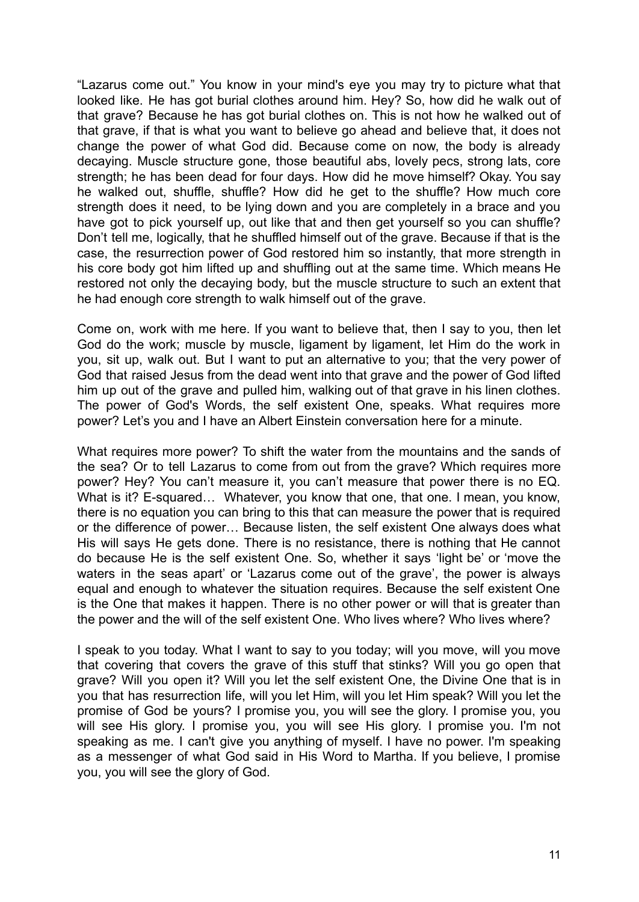"Lazarus come out." You know in your mind's eye you may try to picture what that looked like. He has got burial clothes around him. Hey? So, how did he walk out of that grave? Because he has got burial clothes on. This is not how he walked out of that grave, if that is what you want to believe go ahead and believe that, it does not change the power of what God did. Because come on now, the body is already decaying. Muscle structure gone, those beautiful abs, lovely pecs, strong lats, core strength; he has been dead for four days. How did he move himself? Okay. You say he walked out, shuffle, shuffle? How did he get to the shuffle? How much core strength does it need, to be lying down and you are completely in a brace and you have got to pick yourself up, out like that and then get yourself so you can shuffle? Don't tell me, logically, that he shuffled himself out of the grave. Because if that is the case, the resurrection power of God restored him so instantly, that more strength in his core body got him lifted up and shuffling out at the same time. Which means He restored not only the decaying body, but the muscle structure to such an extent that he had enough core strength to walk himself out of the grave.

Come on, work with me here. If you want to believe that, then I say to you, then let God do the work; muscle by muscle, ligament by ligament, let Him do the work in you, sit up, walk out. But I want to put an alternative to you; that the very power of God that raised Jesus from the dead went into that grave and the power of God lifted him up out of the grave and pulled him, walking out of that grave in his linen clothes. The power of God's Words, the self existent One, speaks. What requires more power? Let's you and I have an Albert Einstein conversation here for a minute.

What requires more power? To shift the water from the mountains and the sands of the sea? Or to tell Lazarus to come from out from the grave? Which requires more power? Hey? You can't measure it, you can't measure that power there is no EQ. What is it? E-squared... Whatever, you know that one, that one. I mean, you know, there is no equation you can bring to this that can measure the power that is required or the difference of power… Because listen, the self existent One always does what His will says He gets done. There is no resistance, there is nothing that He cannot do because He is the self existent One. So, whether it says 'light be' or 'move the waters in the seas apart' or 'Lazarus come out of the grave', the power is always equal and enough to whatever the situation requires. Because the self existent One is the One that makes it happen. There is no other power or will that is greater than the power and the will of the self existent One. Who lives where? Who lives where?

I speak to you today. What I want to say to you today; will you move, will you move that covering that covers the grave of this stuff that stinks? Will you go open that grave? Will you open it? Will you let the self existent One, the Divine One that is in you that has resurrection life, will you let Him, will you let Him speak? Will you let the promise of God be yours? I promise you, you will see the glory. I promise you, you will see His glory. I promise you, you will see His glory. I promise you. I'm not speaking as me. I can't give you anything of myself. I have no power. I'm speaking as a messenger of what God said in His Word to Martha. If you believe, I promise you, you will see the glory of God.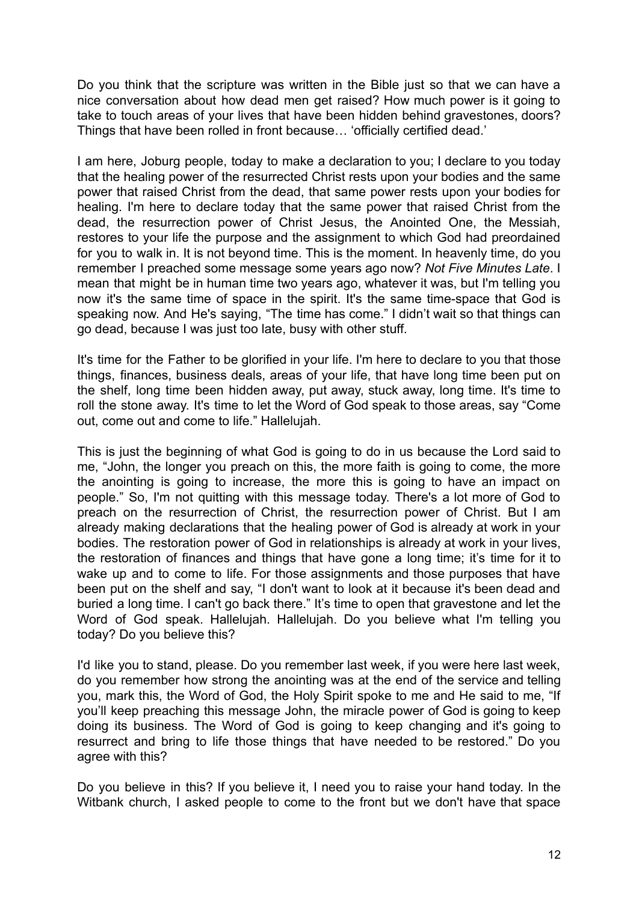Do you think that the scripture was written in the Bible just so that we can have a nice conversation about how dead men get raised? How much power is it going to take to touch areas of your lives that have been hidden behind gravestones, doors? Things that have been rolled in front because… 'officially certified dead.'

I am here, Joburg people, today to make a declaration to you; I declare to you today that the healing power of the resurrected Christ rests upon your bodies and the same power that raised Christ from the dead, that same power rests upon your bodies for healing. I'm here to declare today that the same power that raised Christ from the dead, the resurrection power of Christ Jesus, the Anointed One, the Messiah, restores to your life the purpose and the assignment to which God had preordained for you to walk in. It is not beyond time. This is the moment. In heavenly time, do you remember I preached some message some years ago now? *Not Five Minutes Late*. I mean that might be in human time two years ago, whatever it was, but I'm telling you now it's the same time of space in the spirit. It's the same time-space that God is speaking now. And He's saying, "The time has come." I didn't wait so that things can go dead, because I was just too late, busy with other stuff.

It's time for the Father to be glorified in your life. I'm here to declare to you that those things, finances, business deals, areas of your life, that have long time been put on the shelf, long time been hidden away, put away, stuck away, long time. It's time to roll the stone away. It's time to let the Word of God speak to those areas, say "Come out, come out and come to life." Hallelujah.

This is just the beginning of what God is going to do in us because the Lord said to me, "John, the longer you preach on this, the more faith is going to come, the more the anointing is going to increase, the more this is going to have an impact on people." So, I'm not quitting with this message today. There's a lot more of God to preach on the resurrection of Christ, the resurrection power of Christ. But I am already making declarations that the healing power of God is already at work in your bodies. The restoration power of God in relationships is already at work in your lives, the restoration of finances and things that have gone a long time; it's time for it to wake up and to come to life. For those assignments and those purposes that have been put on the shelf and say, "I don't want to look at it because it's been dead and buried a long time. I can't go back there." It's time to open that gravestone and let the Word of God speak. Hallelujah. Hallelujah. Do you believe what I'm telling you today? Do you believe this?

I'd like you to stand, please. Do you remember last week, if you were here last week, do you remember how strong the anointing was at the end of the service and telling you, mark this, the Word of God, the Holy Spirit spoke to me and He said to me, "If you'll keep preaching this message John, the miracle power of God is going to keep doing its business. The Word of God is going to keep changing and it's going to resurrect and bring to life those things that have needed to be restored." Do you agree with this?

Do you believe in this? If you believe it, I need you to raise your hand today. In the Witbank church, I asked people to come to the front but we don't have that space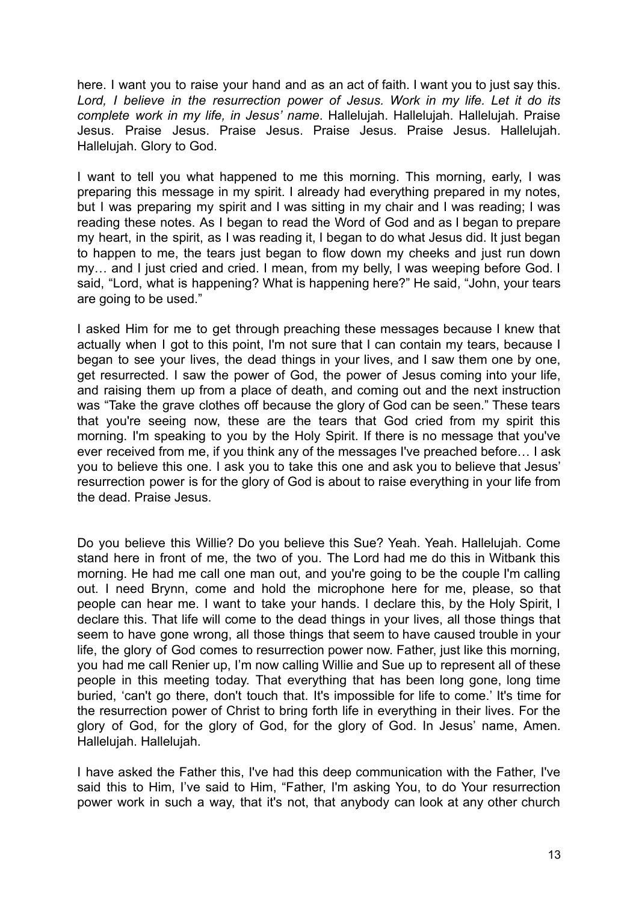here. I want you to raise your hand and as an act of faith. I want you to just say this. *Lord, I believe in the resurrection power of Jesus. Work in my life. Let it do its complete work in my life, in Jesus' name*. Hallelujah. Hallelujah. Hallelujah. Praise Jesus. Praise Jesus. Praise Jesus. Praise Jesus. Praise Jesus. Hallelujah. Hallelujah. Glory to God.

I want to tell you what happened to me this morning. This morning, early, I was preparing this message in my spirit. I already had everything prepared in my notes, but I was preparing my spirit and I was sitting in my chair and I was reading; I was reading these notes. As I began to read the Word of God and as I began to prepare my heart, in the spirit, as I was reading it, I began to do what Jesus did. It just began to happen to me, the tears just began to flow down my cheeks and just run down my… and I just cried and cried. I mean, from my belly, I was weeping before God. I said, "Lord, what is happening? What is happening here?" He said, "John, your tears are going to be used."

I asked Him for me to get through preaching these messages because I knew that actually when I got to this point, I'm not sure that I can contain my tears, because I began to see your lives, the dead things in your lives, and I saw them one by one, get resurrected. I saw the power of God, the power of Jesus coming into your life, and raising them up from a place of death, and coming out and the next instruction was "Take the grave clothes off because the glory of God can be seen." These tears that you're seeing now, these are the tears that God cried from my spirit this morning. I'm speaking to you by the Holy Spirit. If there is no message that you've ever received from me, if you think any of the messages I've preached before… I ask you to believe this one. I ask you to take this one and ask you to believe that Jesus' resurrection power is for the glory of God is about to raise everything in your life from the dead. Praise Jesus.

Do you believe this Willie? Do you believe this Sue? Yeah. Yeah. Hallelujah. Come stand here in front of me, the two of you. The Lord had me do this in Witbank this morning. He had me call one man out, and you're going to be the couple I'm calling out. I need Brynn, come and hold the microphone here for me, please, so that people can hear me. I want to take your hands. I declare this, by the Holy Spirit, I declare this. That life will come to the dead things in your lives, all those things that seem to have gone wrong, all those things that seem to have caused trouble in your life, the glory of God comes to resurrection power now. Father, just like this morning, you had me call Renier up, I'm now calling Willie and Sue up to represent all of these people in this meeting today. That everything that has been long gone, long time buried, 'can't go there, don't touch that. It's impossible for life to come.' It's time for the resurrection power of Christ to bring forth life in everything in their lives. For the glory of God, for the glory of God, for the glory of God. In Jesus' name, Amen. Hallelujah. Hallelujah.

I have asked the Father this, I've had this deep communication with the Father, I've said this to Him, I've said to Him, "Father, I'm asking You, to do Your resurrection power work in such a way, that it's not, that anybody can look at any other church